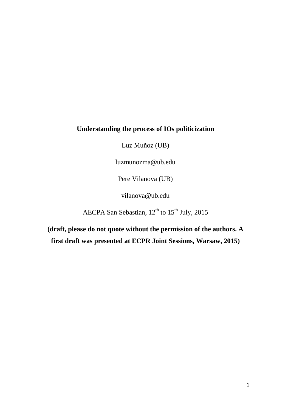# **Understanding the process of IOs politicization**

Luz Muñoz (UB)

luzmunozma@ub.edu

Pere Vilanova (UB)

vilanova@ub.edu

AECPA San Sebastian,  $12^{th}$  to  $15^{th}$  July, 2015

**(draft, please do not quote without the permission of the authors. A first draft was presented at ECPR Joint Sessions, Warsaw, 2015)**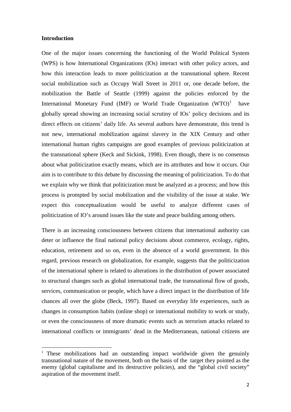## **Introduction**

One of the major issues concerning the functioning of the World Political System (WPS) is how International Organizations (IOs) interact with other policy actors, and how this interaction leads to more politicization at the transnational sphere. Recent social mobilization such as Occupy Wall Street in 2011 or, one decade before, the mobilization the Battle of Seattle (1999) against the policies enforced by the International Monetary Fund (IMF) or World Trade Organization  $(WTO)^1$  $(WTO)^1$  have globally spread showing an increasing social scrutiny of IOs' policy decisions and its direct effects on citizens' daily life. As several authors have demonstrate, this trend is not new, international mobilization against slavery in the XIX Century and other international human rights campaigns are good examples of previous politicization at the transnational sphere (Keck and Sickink, 1998). Even though, there is no consensus about what politicization exactly means, which are its attributes and how it occurs. Our aim is to contribute to this debate by discussing the meaning of politicization. To do that we explain why we think that politicization must be analyzed as a process; and how this process is prompted by social mobilization and the visibility of the issue at stake. We expect this conceptualization would be useful to analyze different cases of politicization of IO's around issues like the state and peace building among others.

There is an increasing consciousness between citizens that international authority can deter or influence the final national policy decisions about commerce, ecology, rights, education, retirement and so on, even in the absence of a world government. In this regard, previous research on globalization, for example, suggests that the politicization of the international sphere is related to alterations in the distribution of power associated to structural changes such as global international trade, the transnational flow of goods, services, communication or people, which have a direct impact in the distribution of life chances all over the globe (Beck, 1997). Based on everyday life experiences, such as changes in consumption habits (online shop) or international mobility to work or study, or even the consciousness of more dramatic events such as terrorism attacks related to international conflicts or immigrants' dead in the Mediterranean, national citizens are

<span id="page-1-0"></span><sup>&</sup>lt;sup>1</sup> These mobilizations had an outstanding impact worldwide given the genuinly transnational nature of the movement, both on the basis of the target they pointed as the enemy (global capitalisme and its destructive policies), and the "global civil society" aspiration of the movement itself.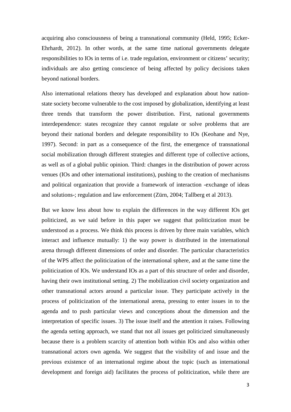acquiring also consciousness of being a transnational community (Held, 1995; Ecker-Ehrhardt, 2012). In other words, at the same time national governments delegate responsibilities to IOs in terms of i.e. trade regulation, environment or citizens' security; individuals are also getting conscience of being affected by policy decisions taken beyond national borders.

Also international relations theory has developed and explanation about how nationstate society become vulnerable to the cost imposed by globalization, identifying at least three trends that transform the power distribution. First, national governments interdependence: states recognize they cannot regulate or solve problems that are beyond their national borders and delegate responsibility to IOs (Keohane and Nye, 1997). Second: in part as a consequence of the first, the emergence of transnational social mobilization through different strategies and different type of collective actions, as well as of a global public opinion. Third: changes in the distribution of power across venues (IOs and other international institutions), pushing to the creation of mechanisms and political organization that provide a framework of interaction -exchange of ideas and solutions-; regulation and law enforcement (Zürn, 2004; Tallberg et al 2013).

But we know less about how to explain the differences in the way different IOs get politicized, as we said before in this paper we suggest that politicization must be understood as a process. We think this process is driven by three main variables, which interact and influence mutually: 1) the way power is distributed in the international arena through different dimensions of order and disorder. The particular characteristics of the WPS affect the politicization of the international sphere, and at the same time the politicization of IOs. We understand IOs as a part of this structure of order and disorder, having their own institutional setting. 2) The mobilization civil society organization and other transnational actors around a particular issue. They participate actively in the process of politicization of the international arena, pressing to enter issues in to the agenda and to push particular views and conceptions about the dimension and the interpretation of specific issues. 3) The issue itself and the attention it raises. Following the agenda setting approach, we stand that not all issues get politicized simultaneously because there is a problem scarcity of attention both within IOs and also within other transnational actors own agenda. We suggest that the visibility of and issue and the previous existence of an international regime about the topic (such as international development and foreign aid) facilitates the process of politicization, while there are

3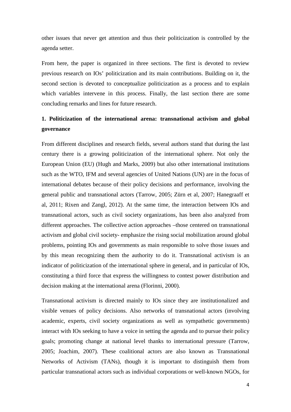other issues that never get attention and thus their politicization is controlled by the agenda setter.

From here, the paper is organized in three sections. The first is devoted to review previous research on IOs' politicization and its main contributions. Building on it, the second section is devoted to conceptualize politicization as a process and to explain which variables intervene in this process. Finally, the last section there are some concluding remarks and lines for future research.

# **1. Politicization of the international arena: transnational activism and global governance**

From different disciplines and research fields, several authors stand that during the last century there is a growing politicization of the international sphere. Not only the European Union (EU) (Hugh and Marks, 2009) but also other international institutions such as the WTO, IFM and several agencies of United Nations (UN) are in the focus of international debates because of their policy decisions and performance, involving the general public and transnational actors (Tarrow, 2005; Zürn et al, 2007; Hanegraaff et al, 2011; Rixen and Zangl, 2012). At the same time, the interaction between IOs and transnational actors, such as civil society organizations, has been also analyzed from different approaches. The collective action approaches –those centered on transnational activism and global civil society- emphasize the rising social mobilization around global problems, pointing IOs and governments as main responsible to solve those issues and by this mean recognizing them the authority to do it. Transnational activism is an indicator of politicization of the international sphere in general, and in particular of IOs, constituting a third force that express the willingness to contest power distribution and decision making at the international arena (Florinni, 2000).

Transnational activism is directed mainly to IOs since they are institutionalized and visible venues of policy decisions. Also networks of transnational actors (involving academic, experts, civil society organizations as well as sympathetic governments) interact with IOs seeking to have a voice in setting the agenda and to pursue their policy goals; promoting change at national level thanks to international pressure (Tarrow, 2005; Joachim, 2007). These coalitional actors are also known as Transnational Networks of Activism (TANs), though it is important to distinguish them from particular transnational actors such as individual corporations or well-known NGOs, for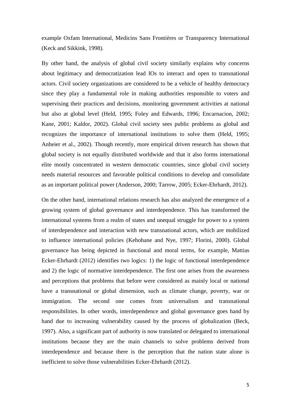example Oxfam International, Medicins Sans Frontières or Transparency International (Keck and Sikkink, 1998).

By other hand, the analysis of global civil society similarly explains why concerns about legitimacy and democratization lead IOs to interact and open to transnational actors. Civil society organizations are considered to be a vehicle of healthy democracy since they play a fundamental role in making authorities responsible to voters and supervising their practices and decisions, monitoring government activities at national but also at global level (Held, 1995; Foley and Edwards, 1996; Encarnacion, 2002; Kane, 2001; Kaldor, 2002). Global civil society sees public problems as global and recognizes the importance of international institutions to solve them (Held, 1995; Anheier et al., 2002). Though recently, more empirical driven research has shown that global society is not equally distributed worldwide and that it also forms international elite mostly concentrated in western democratic countries, since global civil society needs material resources and favorable political conditions to develop and consolidate as an important political power (Anderson, 2000; Tarrow, 2005; Ecker-Ehrhardt, 2012).

On the other hand, international relations research has also analyzed the emergence of a growing system of global governance and interdependence. This has transformed the international systems from a realm of states and unequal struggle for power to a system of interdependence and interaction with new transnational actors, which are mobilized to influence international policies (Kehohane and Nye, 1997; Florini, 2000). Global governance has being depicted in functional and moral terms, for example, Mattias Ecker-Ehrhardt (2012) identifies two logics: 1) the logic of functional interdependence and 2) the logic of normative interdependence. The first one arises from the awareness and perceptions that problems that before were considered as mainly local or national have a transnational or global dimension, such as climate change, poverty, war or immigration. The second one comes from universalism and transnational responsibilities. In other words, interdependence and global governance goes hand by hand due to increasing vulnerability caused by the process of globalization (Beck, 1997). Also, a significant part of authority is now translated or delegated to international institutions because they are the main channels to solve problems derived from interdependence and because there is the perception that the nation state alone is inefficient to solve those vulnerabilities Ecker-Ehrhardt (2012).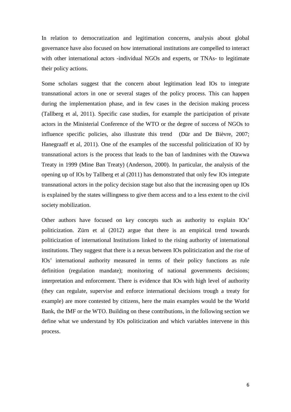In relation to democratization and legitimation concerns, analysis about global governance have also focused on how international institutions are compelled to interact with other international actors -individual NGOs and experts, or TNAs- to legitimate their policy actions.

Some scholars suggest that the concern about legitimation lead IOs to integrate transnational actors in one or several stages of the policy process. This can happen during the implementation phase, and in few cases in the decision making process (Tallberg et al, 2011). Specific case studies, for example the participation of private actors in the Ministerial Conference of the WTO or the degree of success of NGOs to influence specific policies, also illustrate this trend (Dür and De Bièvre, 2007; Hanegraaff et al, 2011). One of the examples of the successful politicization of IO by transnational actors is the process that leads to the ban of landmines with the Otawwa Treaty in 1999 (Mine Ban Treaty) (Anderson, 2000). In particular, the analysis of the opening up of IOs by Tallberg et al (2011) has demonstrated that only few IOs integrate transnational actors in the policy decision stage but also that the increasing open up IOs is explained by the states willingness to give them access and to a less extent to the civil society mobilization.

Other authors have focused on key concepts such as authority to explain IOs' politicization. Zürn et al (2012) argue that there is an empirical trend towards politicization of international Institutions linked to the rising authority of international institutions. They suggest that there is a nexus between IOs politicization and the rise of IOs' international authority measured in terms of their policy functions as rule definition (regulation mandate); monitoring of national governments decisions; interpretation and enforcement. There is evidence that IOs with high level of authority (they can regulate, supervise and enforce international decisions trough a treaty for example) are more contested by citizens, here the main examples would be the World Bank, the IMF or the WTO. Building on these contributions, in the following section we define what we understand by IOs politicization and which variables intervene in this process.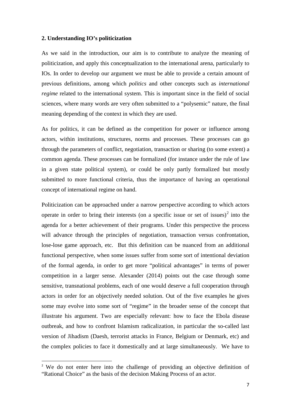#### **2. Understanding IO's politicization**

As we said in the introduction, our aim is to contribute to analyze the meaning of politicization, and apply this conceptualization to the international arena, particularly to IOs. In order to develop our argument we must be able to provide a certain amount of previous definitions, among which *politics* and other concepts such as *international regime* related to the international system. This is important since in the field of social sciences, where many words are very often submitted to a "polysemic" nature, the final meaning depending of the context in which they are used.

As for politics, it can be defined as the competition for power or influence among actors, within institutions, structures, norms and processes. These processes can go through the parameters of conflict, negotiation, transaction or sharing (to some extent) a common agenda. These processes can be formalized (for instance under the rule of law in a given state political system), or could be only partly formalized but mostly submitted to more functional criteria, thus the importance of having an operational concept of international regime on hand.

Politicization can be approached under a narrow perspective according to which actors operate in order to bring their interests (on a specific issue or set of issues)<sup>[2](#page-6-0)</sup> into the agenda for a better achievement of their programs. Under this perspective the process will advance through the principles of negotiation, transaction versus confrontation, lose-lose game approach, etc. But this definition can be nuanced from an additional functional perspective, when some issues suffer from some sort of intentional deviation of the formal agenda, in order to get more "political advantages" in terms of power competition in a larger sense. Alexander (2014) points out the case through some sensitive, transnational problems, each of one would deserve a full cooperation through actors in order for an objectively needed solution. Out of the five examples he gives some may evolve into some sort of "regime" in the broader sense of the concept that illustrate his argument. Two are especially relevant: how to face the Ebola disease outbreak, and how to confront Islamism radicalization, in particular the so-called last version of Jihadism (Daesh, terrorist attacks in France, Belgium or Denmark, etc) and the complex policies to face it domestically and at large simultaneously. We have to

<span id="page-6-0"></span><sup>&</sup>lt;sup>2</sup> We do not enter here into the challenge of providing an objective definition of "Rational Choice" as the basis of the decision Making Process of an actor.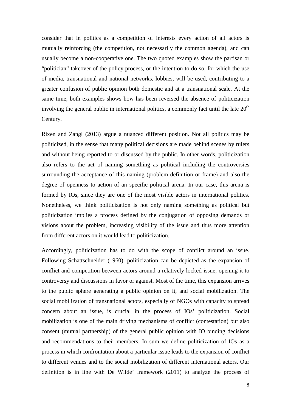consider that in politics as a competition of interests every action of all actors is mutually reinforcing (the competition, not necessarily the common agenda), and can usually become a non-cooperative one. The two quoted examples show the partisan or "politician" takeover of the policy process, or the intention to do so, for which the use of media, transnational and national networks, lobbies, will be used, contributing to a greater confusion of public opinion both domestic and at a transnational scale. At the same time, both examples shows how has been reversed the absence of politicization involving the general public in international politics, a commonly fact until the late  $20<sup>th</sup>$ Century.

Rixen and Zangl (2013) argue a nuanced different position. Not all politics may be politicized, in the sense that many political decisions are made behind scenes by rulers and without being reported to or discussed by the public. In other words, politicization also refers to the act of naming something as political including the controversies surrounding the acceptance of this naming (problem definition or frame) and also the degree of openness to action of an specific political arena. In our case, this arena is formed by IOs, since they are one of the most visible actors in international politics. Nonetheless, we think politicization is not only naming something as political but politicization implies a process defined by the conjugation of opposing demands or visions about the problem, increasing visibility of the issue and thus more attention from different actors on it would lead to politicization.

Accordingly, politicization has to do with the scope of conflict around an issue. Following Schattschneider (1960), politicization can be depicted as the expansion of conflict and competition between actors around a relatively locked issue, opening it to controversy and discussions in favor or against. Most of the time, this expansion arrives to the public sphere generating a public opinion on it, and social mobilization. The social mobilization of transnational actors, especially of NGOs with capacity to spread concern about an issue, is crucial in the process of IOs' politicization. Social mobilization is one of the main driving mechanisms of conflict (contestation) but also consent (mutual partnership) of the general public opinion with IO binding decisions and recommendations to their members. In sum we define politicization of IOs as a process in which confrontation about a particular issue leads to the expansion of conflict to different venues and to the social mobilization of different international actors. Our definition is in line with De Wilde' framework (2011) to analyze the process of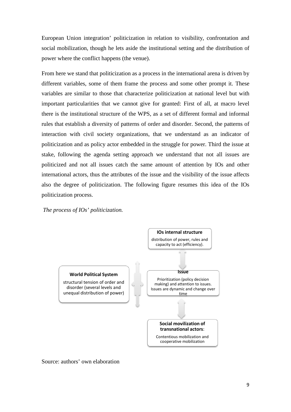European Union integration' politicization in relation to visibility, confrontation and social mobilization, though he lets aside the institutional setting and the distribution of power where the conflict happens (the venue).

From here we stand that politicization as a process in the international arena is driven by different variables, some of them frame the process and some other prompt it. These variables are similar to those that characterize politicization at national level but with important particularities that we cannot give for granted: First of all, at macro level there is the institutional structure of the WPS, as a set of different formal and informal rules that establish a diversity of patterns of order and disorder. Second, the patterns of interaction with civil society organizations, that we understand as an indicator of politicization and as policy actor embedded in the struggle for power. Third the issue at stake, following the agenda setting approach we understand that not all issues are politicized and not all issues catch the same amount of attention by IOs and other international actors, thus the attributes of the issue and the visibility of the issue affects also the degree of politicization. The following figure resumes this idea of the IOs politicization process.

*The process of IOs' politicization.* 



Source: authors' own elaboration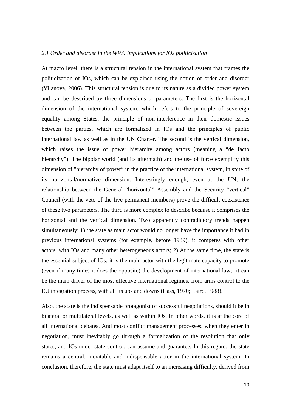### *2.1 Order and disorder in the WPS: implications for IOs politicization*

At macro level, there is a structural tension in the international system that frames the politicization of IOs, which can be explained using the notion of order and disorder (Vilanova, 2006). This structural tension is due to its nature as a divided power system and can be described by three dimensions or parameters. The first is the horizontal dimension of the international system, which refers to the principle of sovereign equality among States, the principle of non-interference in their domestic issues between the parties, which are formalized in IOs and the principles of public international law as well as in the UN Charter. The second is the vertical dimension, which raises the issue of power hierarchy among actors (meaning a "de facto hierarchy"). The bipolar world (and its aftermath) and the use of force exemplify this dimension of "hierarchy of power" in the practice of the international system, in spite of its horizontal/normative dimension. Interestingly enough, even at the UN, the relationship between the General "horizontal" Assembly and the Security "vertical" Council (with the veto of the five permanent members) prove the difficult coexistence of these two parameters. The third is more complex to describe because it comprises the horizontal and the vertical dimension. Two apparently contradictory trends happen simultaneously: 1) the state as main actor would no longer have the importance it had in previous international systems (for example, before 1939), it competes with other actors, with IOs and many other heterogeneous actors; 2) At the same time, the state is the essential subject of IOs; it is the main actor with the legitimate capacity to promote (even if many times it does the opposite) the development of international law; it can be the main driver of the most effective international regimes, from arms control to the EU integration process, with all its ups and downs (Hass, 1970; Laird, 1988).

Also, the state is the indispensable protagonist of successful negotiations, should it be in bilateral or multilateral levels, as well as within IOs. In other words, it is at the core of all international debates. And most conflict management processes, when they enter in negotiation, must inevitably go through a formalization of the resolution that only states, and IOs under state control, can assume and guarantee. In this regard, the state remains a central, inevitable and indispensable actor in the international system. In conclusion, therefore, the state must adapt itself to an increasing difficulty, derived from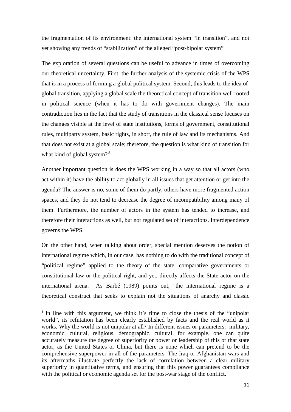the fragmentation of its environment: the international system "in transition", and not yet showing any trends of "stabilization" of the alleged "post-bipolar system"

The exploration of several questions can be useful to advance in times of overcoming our theoretical uncertainty. First, the further analysis of the systemic crisis of the WPS that is in a process of forming a global political system. Second, this leads to the idea of global transition, applying a global scale the theoretical concept of transition well rooted in political science (when it has to do with government changes). The main contradiction lies in the fact that the study of transitions in the classical sense focuses on the changes visible at the level of state institutions, forms of government, constitutional rules, multiparty system, basic rights, in short, the rule of law and its mechanisms. And that does not exist at a global scale; therefore, the question is what kind of transition for what kind of global system?<sup>[3](#page-10-0)</sup>

Another important question is does the WPS working in a way so that all actors (who act within it) have the ability to act globally in all issues that get attention or get into the agenda? The answer is no, some of them do partly, others have more fragmented action spaces, and they do not tend to decrease the degree of incompatibility among many of them. Furthermore, the number of actors in the system has tended to increase, and therefore their interactions as well, but not regulated set of interactions. Interdependence governs the WPS.

On the other hand, when talking about order, special mention deserves the notion of international regime which, in our case, has nothing to do with the traditional concept of "political regime" applied to the theory of the state, comparative governments or constitutional law or the political right, and yet, directly affects the State actor on the international arena. As Barbé (1989) points out, "the international regime is a theoretical construct that seeks to explain not the situations of anarchy and classic

<span id="page-10-0"></span><sup>&</sup>lt;sup>3</sup> In line with this argument, we think it's time to close the thesis of the "unipolar" world", its refutation has been clearly established by facts and the real world as it works. Why the world is not unipolar at all? In different issues or parameters: military, economic, cultural, religious, demographic, cultural, for example, one can quite accurately measure the degree of superiority or power or leadership of this or that state actor, as the United States or China, but there is none which can pretend to be the comprehensive superpower in all of the parameters. The Iraq or Afghanistan wars and its aftermaths illustrate perfectly the lack of correlation between a clear military superiority in quantitative terms, and ensuring that this power guarantees compliance with the political or economic agenda set for the post-war stage of the conflict.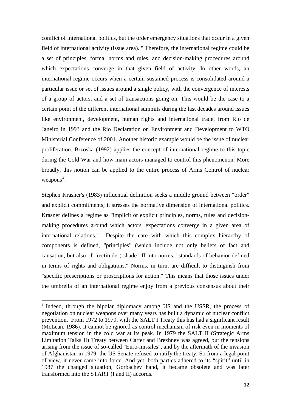conflict of international politics, but the order emergency situations that occur in a given field of international activity (issue area). " Therefore, the international regime could be a set of principles, formal norms and rules, and decision-making procedures around which expectations converge in that given field of activity. In other words, an international regime occurs when a certain sustained process is consolidated around a particular issue or set of issues around a single policy, with the convergence of interests of a group of actors, and a set of transactions going on. This would be the case to a certain point of the different international summits during the last decades around issues like environment, development, human rights and international trade, from Río de Janeiro in 1993 and the Rio Declaration on Environment and Development to WTO Ministerial Conference of 2001. Another historic example would be the issue of nuclear proliferation. Brzoska (1992) applies the concept of international regime to this topic during the Cold War and how main actors managed to control this phenomenon. More broadly, this notion can be applied to the entire process of Arms Control of nuclear weapons<sup>[4](#page-11-0)</sup>.

Stephen Krasner's (1983) influential definition seeks a middle ground between "order" and explicit commitments; it stresses the normative dimension of international politics. Krasner defines a regime as "implicit or explicit principles, norms, rules and decisionmaking procedures around which actors' expectations converge in a given area of international relations." Despite the care with which this complex hierarchy of components is defined, "principles" (which include not only beliefs of fact and causation, but also of "rectitude") shade off into norms, "standards of behavior defined in terms of rights and obligations." Norms, in turn, are difficult to distinguish from "specific prescriptions or proscriptions for action." This means that those issues under the umbrella of an international regime enjoy from a previous consensus about their

<span id="page-11-0"></span><sup>&</sup>lt;sup>4</sup> Indeed, through the bipolar diplomacy among US and the USSR, the process of negotiation on nuclear weapons over many years has built a dynamic of nuclear conflict prevention. From 1972 to 1979, with the SALT I Treaty this has had a significant result (McLean, 1986). It cannot be ignored as control mechanism of risk even in moments of maximum tension in the cold war at its peak. In 1979 the SALT II (Strategic Arms Limitation Talks II) Treaty between Carter and Brezhnev was agreed, but the tensions arising from the issue of so-called "Euro-missiles", and by the aftermath of the invasion of Afghanistan in 1979, the US Senate refused to ratify the treaty. So from a legal point of view, it never came into force. And yet, both parties adhered to its "spirit" until in 1987 the changed situation, Gorbachev hand, it became obsolete and was later transformed into the START (I and II) accords.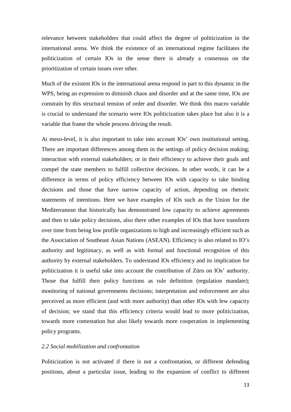relevance between stakeholders that could affect the degree of politicization in the international arena. We think the existence of an international regime facilitates the politicization of certain IOs in the sense there is already a consensus on the prioritization of certain issues over other.

Much of the existent IOs in the international arena respond in part to this dynamic in the WPS, being an expression to diminish chaos and disorder and at the same time, IOs are constrain by this structural tension of order and disorder. We think this macro variable is crucial to understand the scenario were IOs politicization takes place but also it is a variable that frame the whole process driving the result.

At meso-level, it is also important to take into account IOs' own institutional setting. There are important differences among them in the settings of policy decision making; interaction with external stakeholders; or in their efficiency to achieve their goals and compel the state members to fulfill collective decisions. In other words, it can be a difference in terms of policy efficiency between IOs with capacity to take binding decisions and those that have narrow capacity of action, depending on rhetoric statements of intentions. Here we have examples of IOs such as the Union for the Mediterranean that historically has demonstrated low capacity to achieve agreements and then to take policy decisions, also there other examples of IOs that have transform over time from being low profile organizations to high and increasingly efficient such as the Association of Southeast Asian Nations (ASEAN). Efficiency is also related to IO's authority and legitimacy, as well as with formal and functional recognition of this authority by external stakeholders. To understand IOs efficiency and its implication for politicization it is useful take into account the contribution of Zürn on IOs' authority. Those that fulfill their policy functions as rule definition (regulation mandate); monitoring of national governments decisions; interpretation and enforcement are also perceived as more efficient (and with more authority) than other IOs with few capacity of decision; we stand that this efficiency criteria would lead to more politicization, towards more contestation but also likely towards more cooperation in implementing policy programs.

## *2.2 Social mobilization and confrontation*

Politicization is not activated if there is not a confrontation, or different defending positions, about a particular issue, leading to the expansion of conflict to different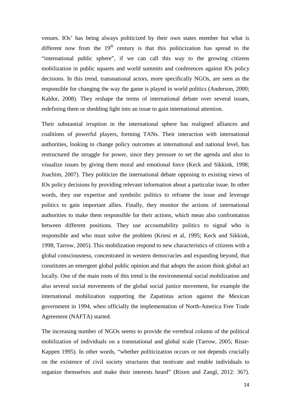venues. IOs' has being always politicized by their own states member but what is different now from the  $19<sup>th</sup>$  century is that this politicization has spread to the "international public sphere", if we can call this way to the growing citizens mobilization in public squares and world summits and conferences against IOs policy decisions. In this trend, transnational actors, more specifically NGOs, are seen as the responsible for changing the way the game is played in world politics (Anderson, 2000; Kaldor, 2008). They reshape the terms of international debate over several issues, redefining them or shedding light into an issue to gain international attention.

Their substantial irruption in the international sphere has realigned alliances and coalitions of powerful players, forming TANs. Their interaction with international authorities, looking to change policy outcomes at international and national level, has restructured the struggle for power, since they pressure to set the agenda and also to visualize issues by giving them moral and emotional force (Keck and Sikkink, 1998; Joachim, 2007). They politicize the international debate opposing to existing views of IOs policy decisions by providing relevant information about a particular issue. In other words, they use expertise and symbolic politics to reframe the issue and leverage politics to gain important allies. Finally, they monitor the actions of international authorities to make them responsible for their actions, which mean also confrontation between different positions. They use accountability politics to signal who is responsible and who must solve the problem (Kriesi et al, 1995; Keck and Sikkink, 1998; Tarrow, 2005). This mobilization respond to new characteristics of citizens with a global consciousness, concentrated in western democracies and expanding beyond, that constitutes an emergent global public opinion and that adopts the axiom think global act locally. One of the main roots of this trend is the environmental social mobilization and also several social movements of the global social justice movement, for example the international mobilization supporting the Zapatistas action against the Mexican government in 1994, when officially the implementation of North-America Free Trade Agreement (NAFTA) started.

The increasing number of NGOs seems to provide the vertebral column of the political mobilization of individuals on a transnational and global scale (Tarrow, 2005; Risse-Kappen 1995). In other words, "whether politicization occurs or not depends crucially on the existence of civil society structures that motivate and enable individuals to organize themselves and make their interests heard" (Rixen and Zangl, 2012: 367).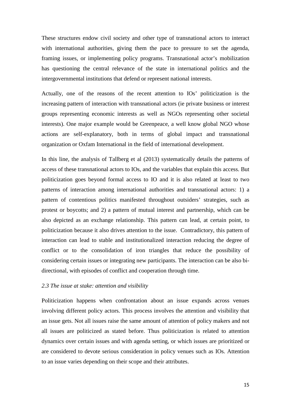These structures endow civil society and other type of transnational actors to interact with international authorities, giving them the pace to pressure to set the agenda, framing issues, or implementing policy programs. Transnational actor's mobilization has questioning the central relevance of the state in international politics and the intergovernmental institutions that defend or represent national interests.

Actually, one of the reasons of the recent attention to IOs' politicization is the increasing pattern of interaction with transnational actors (ie private business or interest groups representing economic interests as well as NGOs representing other societal interests). One major example would be Greenpeace, a well know global NGO whose actions are self-explanatory, both in terms of global impact and transnational organization or Oxfam International in the field of international development.

In this line, the analysis of Tallberg et al (2013) systematically details the patterns of access of these transnational actors to IOs, and the variables that explain this access. But politicization goes beyond formal access to IO and it is also related at least to two patterns of interaction among international authorities and transnational actors: 1) a pattern of contentious politics manifested throughout outsiders' strategies, such as protest or boycotts; and 2) a pattern of mutual interest and partnership, which can be also depicted as an exchange relationship. This pattern can lead, at certain point, to politicization because it also drives attention to the issue. Contradictory, this pattern of interaction can lead to stable and institutionalized interaction reducing the degree of conflict or to the consolidation of iron triangles that reduce the possibility of considering certain issues or integrating new participants. The interaction can be also bidirectional, with episodes of conflict and cooperation through time.

#### *2.3 The issue at stake: attention and visibility*

Politicization happens when confrontation about an issue expands across venues involving different policy actors. This process involves the attention and visibility that an issue gets. Not all issues raise the same amount of attention of policy makers and not all issues are politicized as stated before. Thus politicization is related to attention dynamics over certain issues and with agenda setting, or which issues are prioritized or are considered to devote serious consideration in policy venues such as IOs. Attention to an issue varies depending on their scope and their attributes.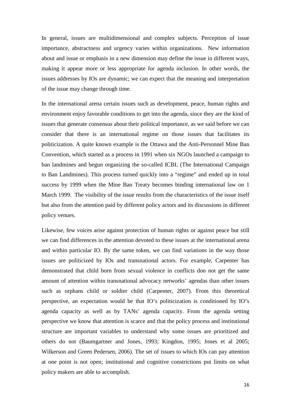In general, issues are multidimensional and complex subjects. Perception of issue importance, abstractness and urgency varies within organizations. New information about and issue or emphasis in a new dimension may define the issue in different ways, making it appear more or less appropriate for agenda inclusion. In other words, the issues addresses by IOs are dynamic; we can expect that the meaning and interpretation of the issue may change through time.

In the international arena certain issues such as development, peace, human rights and environment enjoy favorable conditions to get into the agenda, since they are the kind of issues that generate consensus about their political importance, as we said before we can consider that there is an international regime on those issues that facilitates its politicization. A quite known example is the Ottawa and the Anti-Personnel Mine Ban Convention, which started as a process in 1991 when six NGOs launched a campaign to ban landmines and begun organizing the so-called ICBL (The International Campaign to Ban Landmines). This process turned quickly into a "regime" and ended up in total success by 1999 when the Mine Ban Treaty becomes binding international law on 1 March 1999. The visibility of the issue results from the characteristics of the issue itself but also from the attention paid by different policy actors and its discussions in different policy venues.

Likewise, few voices arise against protection of human rights or against peace but still we can find differences in the attention devoted to these issues at the international arena and within particular IO. By the same token, we can find variations in the way those issues are politicized by IOs and transnational actors. For example, Carpenter has demonstrated that child born from sexual violence in conflicts don not get the same amount of attention within transnational advocacy networks' agendas than other issues such as orphans child or soldier child (Carpenter, 2007). From this theoretical perspective, an expectation would be that IO's politicization is conditioned by IO's agenda capacity as well as by TANs' agenda capacity. From the agenda setting perspective we know that attention is scarce and that the policy process and institutional structure are important variables to understand why some issues are prioritized and others do not (Baumgartner and Jones, 1993; Kingdon, 1995; Jones et al 2005; Wilkerson and Green Pedersen, 2006). The set of issues to which IOs can pay attention at one point is not open; institutional and cognitive constrictions put limits on what policy makers are able to accomplish.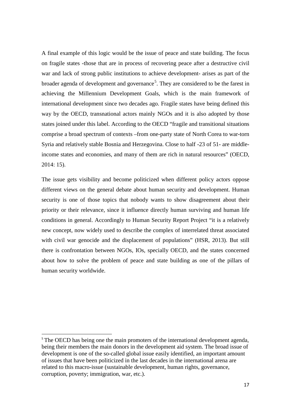A final example of this logic would be the issue of peace and state building. The focus on fragile states -those that are in process of recovering peace after a destructive civil war and lack of strong public institutions to achieve development- arises as part of the broader agenda of development and governance<sup>[5](#page-16-0)</sup>. They are considered to be the farest in achieving the Millennium Development Goals, which is the main framework of international development since two decades ago. Fragile states have being defined this way by the OECD, transnational actors mainly NGOs and it is also adopted by those states joined under this label. According to the OECD "fragile and transitional situations comprise a broad spectrum of contexts –from one-party state of North Corea to war-torn Syria and relatively stable Bosnia and Herzegovina. Close to half -23 of 51- are middleincome states and economies, and many of them are rich in natural resources" (OECD, 2014: 15).

The issue gets visibility and become politicized when different policy actors oppose different views on the general debate about human security and development. Human security is one of those topics that nobody wants to show disagreement about their priority or their relevance, since it influence directly human surviving and human life conditions in general. Accordingly to Human Security Report Project "it is a relatively new concept, now widely used to describe the complex of interrelated threat associated with civil war genocide and the displacement of populations" (HSR, 2013). But still there is confrontation between NGOs, IOs, specially OECD, and the states concerned about how to solve the problem of peace and state building as one of the pillars of human security worldwide.

<span id="page-16-0"></span><sup>&</sup>lt;sup>5</sup> The OECD has being one the main promoters of the international development agenda, being their members the main donors in the development aid system. The broad issue of development is one of the so-called global issue easily identified, an important amount of issues that have been politicized in the last decades in the international arena are related to this macro-issue (sustainable development, human rights, governance, corruption, poverty; immigration, war, etc.).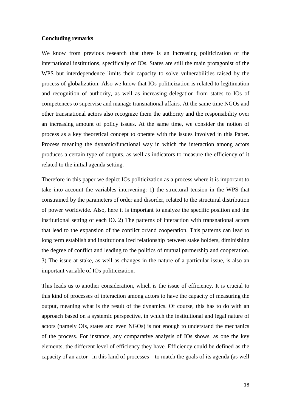### **Concluding remarks**

We know from previous research that there is an increasing politicization of the international institutions, specifically of IOs. States are still the main protagonist of the WPS but interdependence limits their capacity to solve vulnerabilities raised by the process of globalization. Also we know that IOs politicization is related to legitimation and recognition of authority, as well as increasing delegation from states to IOs of competences to supervise and manage transnational affairs. At the same time NGOs and other transnational actors also recognize them the authority and the responsibility over an increasing amount of policy issues. At the same time, we consider the notion of process as a key theoretical concept to operate with the issues involved in this Paper. Process meaning the dynamic/functional way in which the interaction among actors produces a certain type of outputs, as well as indicators to measure the efficiency of it related to the initial agenda setting.

Therefore in this paper we depict IOs politicization as a process where it is important to take into account the variables intervening: 1) the structural tension in the WPS that constrained by the parameters of order and disorder, related to the structural distribution of power worldwide. Also, here it is important to analyze the specific position and the institutional setting of each IO. 2) The patterns of interaction with transnational actors that lead to the expansion of the conflict or/and cooperation. This patterns can lead to long term establish and institutionalized relationship between stake holders, diminishing the degree of conflict and leading to the politics of mutual partnership and cooperation. 3) The issue at stake, as well as changes in the nature of a particular issue, is also an important variable of IOs politicization.

This leads us to another consideration, which is the issue of efficiency. It is crucial to this kind of processes of interaction among actors to have the capacity of measuring the output, meaning what is the result of the dynamics. Of course, this has to do with an approach based on a systemic perspective, in which the institutional and legal nature of actors (namely OIs, states and even NGOs) is not enough to understand the mechanics of the process. For instance, any comparative analysis of IOs shows, as one the key elements, the different level of efficiency they have. Efficiency could be defined as the capacity of an actor –in this kind of processes—to match the goals of its agenda (as well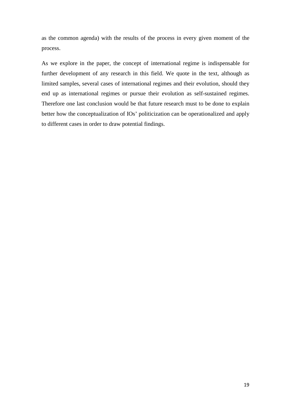as the common agenda) with the results of the process in every given moment of the process.

As we explore in the paper, the concept of international regime is indispensable for further development of any research in this field. We quote in the text, although as limited samples, several cases of international regimes and their evolution, should they end up as international regimes or pursue their evolution as self-sustained regimes. Therefore one last conclusion would be that future research must to be done to explain better how the conceptualization of IOs' politicization can be operationalized and apply to different cases in order to draw potential findings.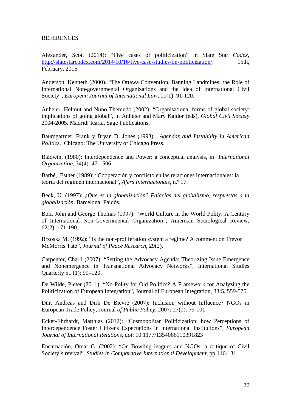# REFERENCES

Alexander, Scott (2014): "Five cases of politicization" in Slate Star *Codex*, <http://slatestarcodex.com/2014/10/16/five-case-studies-on-politicization/>. 15th, February, 2015.

Anderson, Kenneth (2000). "The Ottawa Convention. Banning Landmines, the Role of International Non-governmental Organizations and the Idea of International Civil Society", *European Journal of International Law,* 11(1): 91-120.

Anheier, Helmut and Nuno Themudo (2002): "Organisational forms of global society: implications of going global", in Anheier and Mary Kaldor (eds), *Global Civil Society*  2004-2005. Madrid: Icaria, Sage Publications.

Baumgartner, Frank y Bryan D. Jones (1993): *Agendas and Instability in American Politics*. Chicago: The University of Chicago Press.

Baldwin, (1980): Interdependence and Power: a conceptual analysis, in *International Organization*, 34(4): 471-506

Barbé, Esther (1989): "Cooperación y conflicto en las relaciones internacionales: la teoría del régimen internacional", *Afers Internacionals*, n.º 17.

Beck, U. (1997): *¿Qué es la globalización? Falacias del globalismo, respuestas a la globalización*. Barcelona: Paidós.

Boli, John and George Thomas (1997): "World Culture in the World Polity: A Century of International Non-Governmental Organization", American Sociological Review, 62(2): 171-190.

Brzoska M. (1992): "Is the non-proliferation system a regime? A comment on Trevor McMorris Tate", *Journal of Peace Research*, 29(2).

Carpenter, Charli (2007): "Setting the Advocacy Agenda: Theorizing Issue Emergence and Nonemergence in Transnational Advocacy Networks", International Studies Quarterly 51 (1): 99–120.

De Wilde, Pieter (2011): "No Polity for Old Politics? A Framework for Analyzing the Politicization of European Integration", Journal of European Integration, 33:5, 559-575.

Dür, Andreas and Dirk De Bièvre (2007): Inclusion without Influence? NGOs in European Trade Policy, Journal *of Public Policy*, 2007: 27(1): 79-101

Ecker-Ehrhardt, Matthias (2012): "Cosmopolitan Politicization: how Perceptions of Interdependence Foster Citizens Expectations in International Institutions", *European Journal of International Relations*, doi: 10.1177/1354066110391823

Encarnación, Omar G. (2002): "On Bowling leagues and NGOs: a critique of Civil Society's revival". *Studies in Comparative International Development*, pp 116-131.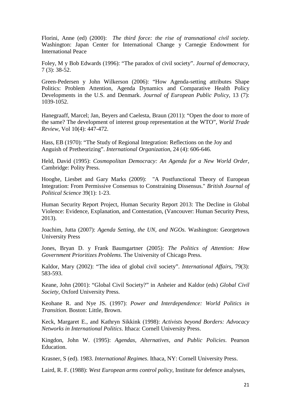Florini, Anne (ed) (2000): *The third force: the rise of transnational civil society*. Washington: Japan Center for International Change y Carnegie Endowment for International Peace

Foley, M y Bob Edwards (1996): "The paradox of civil society". *Journal of democracy*, 7 (3): 38-52.

Green-Pedersen y John Wilkerson (2006): "How Agenda-setting attributes Shape Politics: Problem Attention, Agenda Dynamics and Comparative Health Policy Developments in the U.S. and Denmark. *Journal of European Public Policy*, 13 (7): 1039-1052.

Hanegraaff, Marcel; Jan, Beyers and Caelesta, Braun (2011): "Open the door to more of the same? The development of interest group representation at the WTO", *World Trade Review*, Vol 10(4): 447-472.

Hass, EB (1970): "The Study of Regional Integration: Reflections on the Joy and Anguish of Pretheorizing". *International Organization*, 24 (4): 606-646.

Held, David (1995): *Cosmopolitan Democracy: An Agenda for a New World Order*, Cambridge: Polity Press.

Hooghe, Liesbet and Gary Marks (2009): "A Postfunctional Theory of European Integration: From Permissive Consensus to Constraining Dissensus." *British Journal of Political Science* 39(1): 1‐23.

Human Security Report Project, Human Security Report 2013: The Decline in Global Violence: Evidence, Explanation, and Contestation, (Vancouver: Human Security Press, 2013).

Joachim, Jutta (2007): *Agenda Setting, the UN, and NGOs.* Washington: Georgetown University Press

Jones, Bryan D. y Frank Baumgartner (2005): *The Politics of Attention: How Government Prioritizes Problems*. The University of Chicago Press.

Kaldor, Mary (2002): "The idea of global civil society". *International Affairs*, 79(3): 583-593.

Keane, John (2001): "Global Civil Society?" in Anheier and Kaldor (eds) *Global Civil Society,* Oxford University Press.

Keohane R. and Nye JS. (1997): *Power and Interdependence: World Politics in Transition*. Boston: Little, Brown.

Keck, Margaret E., and Kathryn Sikkink (1998): *Activists beyond Borders: Advocacy Networks in International Politics*. Ithaca: Cornell University Press.

Kingdon, John W. (1995): *Agendas, Alternatives, and Public Policies*. Pearson Education.

Krasner, S (ed). 1983. *International Regimes*. Ithaca, NY: Cornell University Press.

Laird, R. F. (1988): *West European arms control policy*, Institute for defence analyses,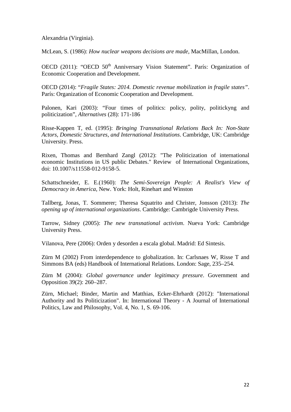Alexandria (Virginia).

McLean, S. (1986): *How nuclear weapons decisions are made*, MacMillan, London.

OECD (2011): "OECD 50<sup>th</sup> Anniversary Vision Statement". París: Organization of Economic Cooperation and Development.

OECD (2014): "*Fragile States: 2014. Domestic revenue mobilization in fragile states"*. París: Organization of Economic Cooperation and Development.

Palonen, Kari (2003): "Four times of politics: policy, polity, politickyng and politicization", *Alternatives* (28): 171-186

Risse-Kappen T, ed. (1995): *Bringing Transnational Relations Back In: Non-State Actors, Domestic Structures, and International Institutions*. Cambridge, UK: Cambridge University. Press.

Rixen, Thomas and Bernhard Zangl (2012): "The Politicization of international economic Institutions in US public Debates." Review of International Organizations, doi: 10.1007/s11558‐012‐9158‐5.

Schattschneider, E. E.(1960): *The Semi-Sovereign People: A Realist's View of Democracy in America*, New. York: Holt, Rinehart and Winston

Tallberg, Jonas, T. Sommerer; Theresa Squatrito and Christer, Jonsson (2013): *The opening up of international organizations*. Cambridge: Cambrigde University Press.

Tarrow, Sidney (2005): *The new transnational activism*. Nueva York: Cambridge University Press.

Vilanova, Pere (2006): Orden y desorden a escala global. Madrid: Ed Sintesis.

Zürn M (2002) From interdependence to globalization. In: Carlsnaes W, Risse T and Simmons BA (eds) Handbook of International Relations. London: Sage, 235–254.

Zürn M (2004): *Global governance under legitimacy pressure*. Government and Opposition 39(2): 260–287.

Zürn, Michael; Binder, Martin and Matthias, Ecker-Ehrhardt (2012): "International Authority and Its Politicization". In: International Theory - A Journal of International Politics, Law and Philosophy, Vol. 4, No. 1, S. 69-106.